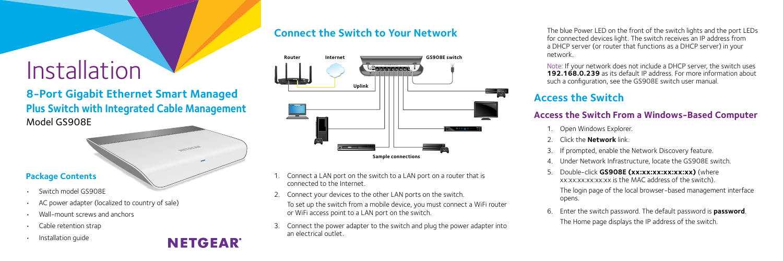# Installation

# **8-Port Gigabit Ethernet Smart Managed Plus Switch with Integrated Cable Management** Model GS908E

#### **Package Contents**

- Switch model GS908E
- AC power adapter (localized to country of sale)
- Wall-mount screws and anchors
- Cable retention strap
- Installation guide

# **NETGEAR**

## **Connect the Switch to Your Network**



- Connect a LAN port on the switch to a LAN port on a router that is connected to the Internet.
- 2. Connect your devices to the other LAN ports on the switch.
- To set up the switch from a mobile device, you must connect a WiFi router or WiFi access point to a LAN port on the switch.
- 3. Connect the power adapter to the switch and plug the power adapter into an electrical outlet.

The blue Power LED on the front of the switch lights and the port LEDs for connected devices light. The switch receives an IP address from a DHCP server (or router that functions as a DHCP server) in your network.

Note: If your network does not include a DHCP server, the switch uses **192.168.0.239** as its default IP address. For more information about such a configuration, see the GS908E switch user manual.

# **Access the Switch**

### **Access the Switch From a Windows-Based Computer**

- 1. Open Windows Explorer.
- 2. Click the **Network** link.
- 3. If prompted, enable the Network Discovery feature.
- 4. Under Network Infrastructure, locate the GS908E switch.
- 5. Double-click **GS908E (xx:xx:xx:xx:xx:xx)** (where xx:xx:xx:xx:xx:xx is the MAC address of the switch).

The login page of the local browser-based management interface opens.

6. Enter the switch password. The default password is **password**. The Home page displays the IP address of the switch.